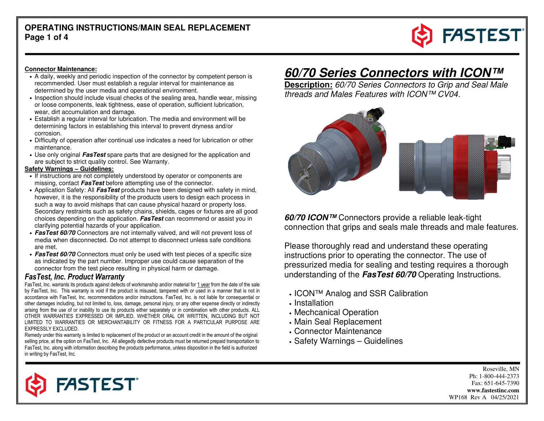

#### **Connector Maintenance:**

- A daily, weekly and periodic inspection of the connector by competent person is recommended. User must establish a regular interval for maintenance as determined by the user media and operational environment.
- Inspection should include visual checks of the sealing area, handle wear, missing or loose components, leak tightness, ease of operation, sufficient lubrication, wear, dirt accumulation and damage.
- Establish a regular interval for lubrication. The media and environment will be determining factors in establishing this interval to prevent dryness and/or corrosion.
- Difficulty of operation after continual use indicates a need for lubrication or other maintenance.
- Use only original **FasTest** spare parts that are designed for the application and are subject to strict quality control. See Warranty.

#### **Safety Warnings – Guidelines:**

- If instructions are not completely understood by operator or components are missing, contact **FasTest** before attempting use of the connector.
- Application Safety: All **FasTest** products have been designed with safety in mind, however, it is the responsibility of the products users to design each process in such a way to avoid mishaps that can cause physical hazard or property loss. Secondary restraints such as safety chains, shields, cages or fixtures are all good choices depending on the application. **FasTest** can recommend or assist you in clarifying potential hazards of your application.
- **FasTest 60/70** Connectors are not internally valved, and will not prevent loss of media when disconnected. Do not attempt to disconnect unless safe conditions are met.
- **FasTest 60/70** Connectors must only be used with test pieces of a specific size as indicated by the part number. Improper use could cause separation of the connector from the test piece resulting in physical harm or damage.

## FasTest, Inc. Product Warranty

FasTest, Inc. warrants its products against defects of workmanship and/or material for <u>1 year</u> from the date of the sale by FasTest, Inc. This warranty is void if the product is misused, tampered with or used in a manner that is not in accordance with FasTest, Inc. recommendations and/or instructions. FasTest, Inc. is not liable for consequential or other damages including, but not limited to, loss, damage, personal injury, or any other expense directly or indirectly arising from the use of or inability to use its products either separately or in combination with other products. ALL OTHER WARRANTIES EXPRESSED OR IMPLIED, WHETHER ORAL OR WRITTEN, INCLUDING BUT NOT LIMITED TO WARRANTIES OR MERCHANTABILITY OR FITNESS FOR A PARTICULAR PURPOSE ARE EXPRESSLY EXCLUDED.

 Remedy under this warranty is limited to replacement of the product or an account credit in the amount of the original selling price, at the option on FasTest, Inc. All allegedly defective products must be returned prepaid transportation to FasTest, Inc. along with information describing the products performance, unless disposition in the field is authorized in writing by FasTest, Inc.

# **60/70 Series Connectors with ICON™**

**Description:** 60/70 Series Connectors to Grip and Seal Male threads and Males Features with ICON™ CV04.



*60/70 ICON™* **C**onnectors provide a reliable leak-tight<br>connection that grips and seals male threads and male connection that grips and seals male threads and male features.

Please thoroughly read and understand these operating instructions prior to operating the connector. The use of pressurized media for sealing and testing requires a thorough understanding of the **FasTest 60/70** Operating Instructions.

- ICON™ Analog and SSR Calibration
- Installation
- Mechcanical Operation
- Main Seal Replacement
- Connector Maintenance
- Safety Warnings Guidelines

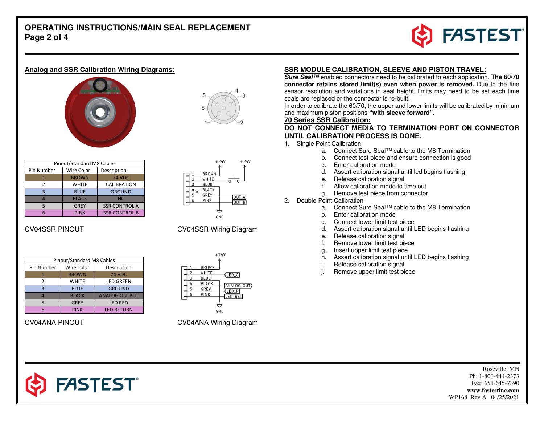

### **Analog and SSR Calibration Wiring Diagrams:**





| Pinout/Standard M8 Cables |              |                      |
|---------------------------|--------------|----------------------|
| Pin Number                | Wire Color   | Description          |
|                           | <b>BROWN</b> | 24 VDC               |
|                           | <b>WHITE</b> | <b>CALIBRATION</b>   |
|                           | <b>BLUE</b>  | <b>GROUND</b>        |
|                           | <b>BLACK</b> | <b>NC</b>            |
|                           | <b>GREY</b>  | <b>SSR CONTROL A</b> |
|                           | <b>PINK</b>  | <b>SSR CONTROL B</b> |



| Pinout/Standard M8 Cables |              |                      |
|---------------------------|--------------|----------------------|
| Pin Number                | Wire Color   | Description          |
|                           | <b>BROWN</b> | 24 VDC               |
|                           | <b>WHITE</b> | <b>LED GREEN</b>     |
|                           | <b>BLUE</b>  | <b>GROUND</b>        |
|                           | <b>BLACK</b> | <b>ANALOG OUTPUT</b> |
|                           | <b>GREY</b>  | <b>LED RED</b>       |
|                           | <b>PINK</b>  | <b>LED RETURN</b>    |





#### CV04ANA PINOUT CV04ANA Wiring Diagram

### **SSR MODULE CALIBRATION, SLEEVE AND PISTON TRAVEL:**

 **Sure Seal™** enabled connectors need to be calibrated to each application. **The 60/70 connector retains stored limit(s) even when power is removed.** Due to the fine sensor resolution and variations in seal height, limits may need to be set each time seals are replaced or the connector is re-built.

 In order to calibrate the 60/70, the upper and lower limits will be calibrated by minimum and maximum piston positions **"with sleeve forward".** 

#### **70 Series SSR Calibration:**

### **DO NOT CONNECT MEDIA TO TERMINATION PORT ON CONNECTOR UNTIL CALIBRATION PROCESS IS DONE.**

- 1. Single Point Calibration
	- a. Connect Sure Seal™ cable to the M8 Termination
	- b. Connect test piece and ensure connection is good
	- c. Enter calibration mode
	- d. Assert calibration signal until led begins flashing
	- e. Release calibration signal
	- f. Allow calibration mode to time out
	- g. Remove test piece from connector
- 2. Double Point Calibration
	- a. Connect Sure Seal™ cable to the M8 Termination
	- b. Enter calibration mode
	- c. Connect lower limit test piece
	- d. Assert calibration signal until LED begins flashing
	- e. Release calibration signal
	- f. Remove lower limit test piece
	- g. Insert upper limit test piece
	- h. Assert calibration signal until LED begins flashing
	- i. Release calibration signal
	- j. Remove upper limit test piece

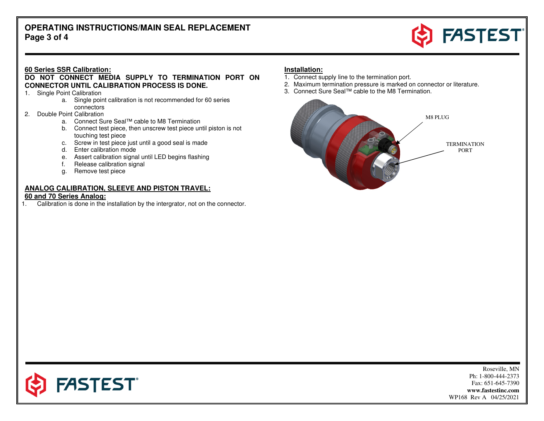# **OPERATING INSTRUCTIONS/MAIN SEAL REPLACEMENT Page 3 of 4**



### **60 Series SSR Calibration:**

### **DO NOT CONNECT MEDIA SUPPLY TO TERMINATION PORT ON CONNECTOR UNTIL CALIBRATION PROCESS IS DONE.**

#### 1. Single Point Calibration

- a. Single point calibration is not recommended for 60 series connectors
- 2. Double Point Calibration
	- a. Connect Sure Seal™ cable to M8 Termination
	- b. Connect test piece, then unscrew test piece until piston is not touching test piece
	- c. Screw in test piece just until a good seal is made
	- d. Enter calibration mode
	- e. Assert calibration signal until LED begins flashing
	- f. Release calibration signal
	- g. Remove test piece

# **ANALOG CALIBRATION, SLEEVE AND PISTON TRAVEL:**

#### **60 and 70 Series Analog:**

1. Calibration is done in the installation by the intergrator, not on the connector.

#### **Installation:**

- 1. Connect supply line to the termination port.
- 2. Maximum termination pressure is marked on connector or literature.
- 3. Connect Sure Seal™ cable to the M8 Termination.